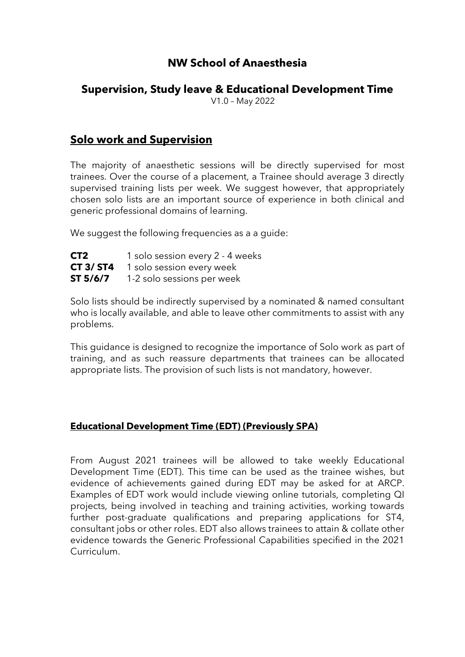# **NW School of Anaesthesia**

# **Supervision, Study leave & Educational Development Time**

V1.0 – May 2022

# **Solo work and Supervision**

The majority of anaesthetic sessions will be directly supervised for most trainees. Over the course of a placement, a Trainee should average 3 directly supervised training lists per week. We suggest however, that appropriately chosen solo lists are an important source of experience in both clinical and generic professional domains of learning.

We suggest the following frequencies as a a guide:

| CT <sub>2</sub>  | 1 solo session every 2 - 4 weeks |
|------------------|----------------------------------|
| <b>CT 3/ ST4</b> | 1 solo session every week        |
| ST 5/6/7         | 1-2 solo sessions per week       |

Solo lists should be indirectly supervised by a nominated & named consultant who is locally available, and able to leave other commitments to assist with any problems.

This guidance is designed to recognize the importance of Solo work as part of training, and as such reassure departments that trainees can be allocated appropriate lists. The provision of such lists is not mandatory, however.

## **Educational Development Time (EDT) (Previously SPA)**

From August 2021 trainees will be allowed to take weekly Educational Development Time (EDT). This time can be used as the trainee wishes, but evidence of achievements gained during EDT may be asked for at ARCP. Examples of EDT work would include viewing online tutorials, completing QI projects, being involved in teaching and training activities, working towards further post-graduate qualifications and preparing applications for ST4, consultant jobs or other roles. EDT also allows trainees to attain & collate other evidence towards the Generic Professional Capabilities specified in the 2021 Curriculum.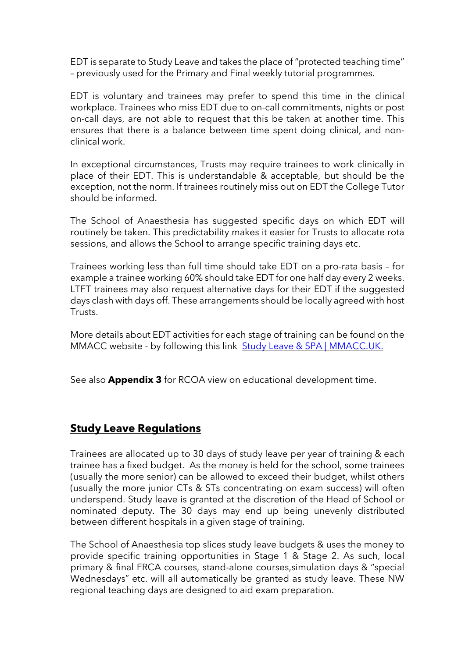EDT is separate to Study Leave and takes the place of "protected teaching time" – previously used for the Primary and Final weekly tutorial programmes.

EDT is voluntary and trainees may prefer to spend this time in the clinical workplace. Trainees who miss EDT due to on-call commitments, nights or post on-call days, are not able to request that this be taken at another time. This ensures that there is a balance between time spent doing clinical, and nonclinical work.

In exceptional circumstances, Trusts may require trainees to work clinically in place of their EDT. This is understandable & acceptable, but should be the exception, not the norm. If trainees routinely miss out on EDT the College Tutor should be informed.

The School of Anaesthesia has suggested specific days on which EDT will routinely be taken. This predictability makes it easier for Trusts to allocate rota sessions, and allows the School to arrange specific training days etc.

Trainees working less than full time should take EDT on a pro-rata basis – for example a trainee working 60% should take EDT for one half day every 2 weeks. LTFT trainees may also request alternative days for their EDT if the suggested days clash with days off. These arrangements should be locally agreed with host Trusts.

More details about EDT activities for each stage of training can be found on the MMACC website - by following this link Study Leave & SPA | [MMACC.UK.](https://www.mmacc.uk/nw-anaesthesia/study-leave)

See also **Appendix 3** for RCOA view on educational development time.

# **Study Leave Regulations**

Trainees are allocated up to 30 days of study leave per year of training & each trainee has a fixed budget. As the money is held for the school, some trainees (usually the more senior) can be allowed to exceed their budget, whilst others (usually the more junior CTs & STs concentrating on exam success) will often underspend. Study leave is granted at the discretion of the Head of School or nominated deputy. The 30 days may end up being unevenly distributed between different hospitals in a given stage of training.

The School of Anaesthesia top slices study leave budgets & uses the money to provide specific training opportunities in Stage 1 & Stage 2. As such, local primary & final FRCA courses, stand-alone courses,simulation days & "special Wednesdays" etc. will all automatically be granted as study leave. These NW regional teaching days are designed to aid exam preparation.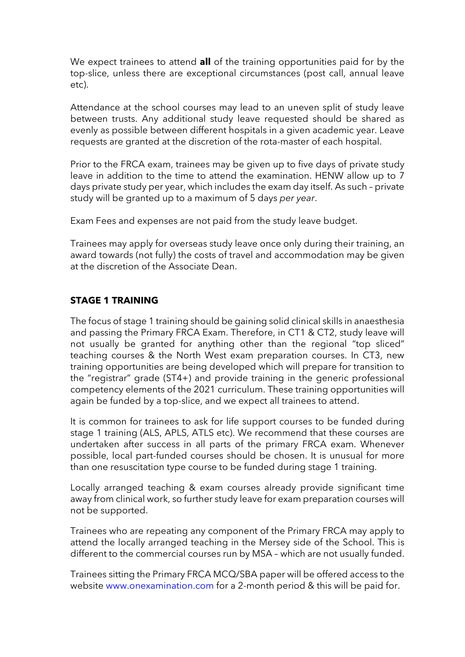We expect trainees to attend **all** of the training opportunities paid for by the top-slice, unless there are exceptional circumstances (post call, annual leave etc).

Attendance at the school courses may lead to an uneven split of study leave between trusts. Any additional study leave requested should be shared as evenly as possible between different hospitals in a given academic year. Leave requests are granted at the discretion of the rota-master of each hospital.

Prior to the FRCA exam, trainees may be given up to five days of private study leave in addition to the time to attend the examination. HENW allow up to 7 days private study per year, which includes the exam day itself. As such – private study will be granted up to a maximum of 5 days *per year*.

Exam Fees and expenses are not paid from the study leave budget.

Trainees may apply for overseas study leave once only during their training, an award towards (not fully) the costs of travel and accommodation may be given at the discretion of the Associate Dean.

#### **STAGE 1 TRAINING**

The focus of stage 1 training should be gaining solid clinical skills in anaesthesia and passing the Primary FRCA Exam. Therefore, in CT1 & CT2, study leave will not usually be granted for anything other than the regional "top sliced" teaching courses & the North West exam preparation courses. In CT3, new training opportunities are being developed which will prepare for transition to the "registrar" grade (ST4+) and provide training in the generic professional competency elements of the 2021 curriculum. These training opportunities will again be funded by a top-slice, and we expect all trainees to attend.

It is common for trainees to ask for life support courses to be funded during stage 1 training (ALS, APLS, ATLS etc). We recommend that these courses are undertaken after success in all parts of the primary FRCA exam. Whenever possible, local part-funded courses should be chosen. It is unusual for more than one resuscitation type course to be funded during stage 1 training.

Locally arranged teaching & exam courses already provide significant time away from clinical work, so further study leave for exam preparation courses will not be supported.

Trainees who are repeating any component of the Primary FRCA may apply to attend the locally arranged teaching in the Mersey side of the School. This is different to the commercial courses run by MSA – which are not usually funded.

Trainees sitting the Primary FRCA MCQ/SBA paper will be offered access to the website www.onexamination.com for a 2-month period & this will be paid for.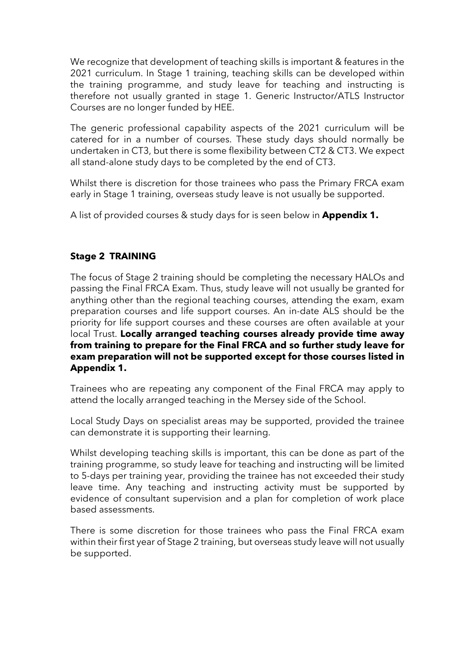We recognize that development of teaching skills is important & features in the 2021 curriculum. In Stage 1 training, teaching skills can be developed within the training programme, and study leave for teaching and instructing is therefore not usually granted in stage 1. Generic Instructor/ATLS Instructor Courses are no longer funded by HEE.

The generic professional capability aspects of the 2021 curriculum will be catered for in a number of courses. These study days should normally be undertaken in CT3, but there is some flexibility between CT2 & CT3. We expect all stand-alone study days to be completed by the end of CT3.

Whilst there is discretion for those trainees who pass the Primary FRCA exam early in Stage 1 training, overseas study leave is not usually be supported.

A list of provided courses & study days for is seen below in **Appendix 1.**

## **Stage 2 TRAINING**

The focus of Stage 2 training should be completing the necessary HALOs and passing the Final FRCA Exam. Thus, study leave will not usually be granted for anything other than the regional teaching courses, attending the exam, exam preparation courses and life support courses. An in-date ALS should be the priority for life support courses and these courses are often available at your local Trust. **Locally arranged teaching courses already provide time away from training to prepare for the Final FRCA and so further study leave for exam preparation will not be supported except for those courses listed in Appendix 1.**

Trainees who are repeating any component of the Final FRCA may apply to attend the locally arranged teaching in the Mersey side of the School.

Local Study Days on specialist areas may be supported, provided the trainee can demonstrate it is supporting their learning.

Whilst developing teaching skills is important, this can be done as part of the training programme, so study leave for teaching and instructing will be limited to 5-days per training year, providing the trainee has not exceeded their study leave time. Any teaching and instructing activity must be supported by evidence of consultant supervision and a plan for completion of work place based assessments.

There is some discretion for those trainees who pass the Final FRCA exam within their first year of Stage 2 training, but overseas study leave will not usually be supported.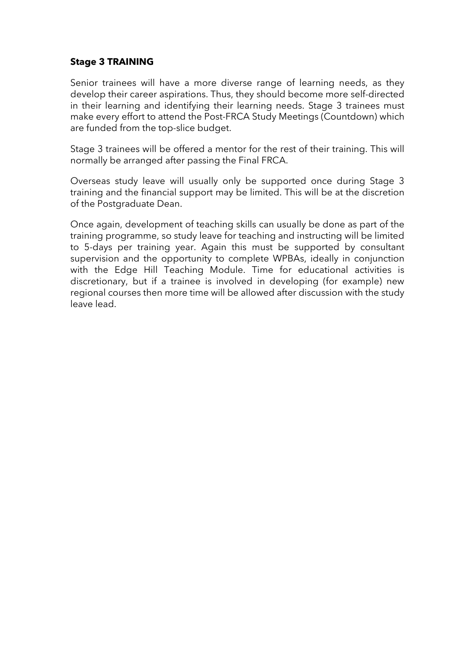### **Stage 3 TRAINING**

Senior trainees will have a more diverse range of learning needs, as they develop their career aspirations. Thus, they should become more self-directed in their learning and identifying their learning needs. Stage 3 trainees must make every effort to attend the Post-FRCA Study Meetings (Countdown) which are funded from the top-slice budget.

Stage 3 trainees will be offered a mentor for the rest of their training. This will normally be arranged after passing the Final FRCA.

Overseas study leave will usually only be supported once during Stage 3 training and the financial support may be limited. This will be at the discretion of the Postgraduate Dean.

Once again, development of teaching skills can usually be done as part of the training programme, so study leave for teaching and instructing will be limited to 5-days per training year. Again this must be supported by consultant supervision and the opportunity to complete WPBAs, ideally in conjunction with the Edge Hill Teaching Module. Time for educational activities is discretionary, but if a trainee is involved in developing (for example) new regional courses then more time will be allowed after discussion with the study leave lead.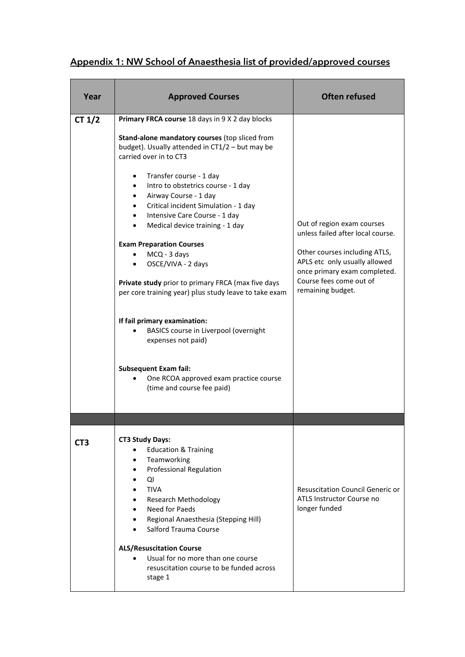# Appendix 1: NW School of Anaesthesia list of provided/approved courses

| Year     | <b>Approved Courses</b>                                                                                                                                                                                                                                                                                                                                                                                                                                                                                                                                                                                                                                                                                                                                                                                       | <b>Often refused</b>                                                                                                                                                                                              |
|----------|---------------------------------------------------------------------------------------------------------------------------------------------------------------------------------------------------------------------------------------------------------------------------------------------------------------------------------------------------------------------------------------------------------------------------------------------------------------------------------------------------------------------------------------------------------------------------------------------------------------------------------------------------------------------------------------------------------------------------------------------------------------------------------------------------------------|-------------------------------------------------------------------------------------------------------------------------------------------------------------------------------------------------------------------|
| CT $1/2$ | Primary FRCA course 18 days in 9 X 2 day blocks<br>Stand-alone mandatory courses (top sliced from<br>budget). Usually attended in CT1/2 - but may be<br>carried over in to CT3<br>Transfer course - 1 day<br>Intro to obstetrics course - 1 day<br>Airway Course - 1 day<br>Critical incident Simulation - 1 day<br>Intensive Care Course - 1 day<br>$\bullet$<br>Medical device training - 1 day<br>$\bullet$<br><b>Exam Preparation Courses</b><br>MCQ - 3 days<br>OSCE/VIVA - 2 days<br>Private study prior to primary FRCA (max five days<br>per core training year) plus study leave to take exam<br>If fail primary examination:<br>BASICS course in Liverpool (overnight<br>expenses not paid)<br><b>Subsequent Exam fail:</b><br>One RCOA approved exam practice course<br>(time and course fee paid) | Out of region exam courses<br>unless failed after local course.<br>Other courses including ATLS,<br>APLS etc only usually allowed<br>once primary exam completed.<br>Course fees come out of<br>remaining budget. |
| CT3      | <b>CT3 Study Days:</b><br><b>Education &amp; Training</b><br>Teamworking<br><b>Professional Regulation</b><br>QI<br><b>TIVA</b><br><b>Research Methodology</b><br>Need for Paeds<br>Regional Anaesthesia (Stepping Hill)<br>Salford Trauma Course<br><b>ALS/Resuscitation Course</b><br>Usual for no more than one course<br>resuscitation course to be funded across<br>stage 1                                                                                                                                                                                                                                                                                                                                                                                                                              | <b>Resuscitation Council Generic or</b><br>ATLS Instructor Course no<br>longer funded                                                                                                                             |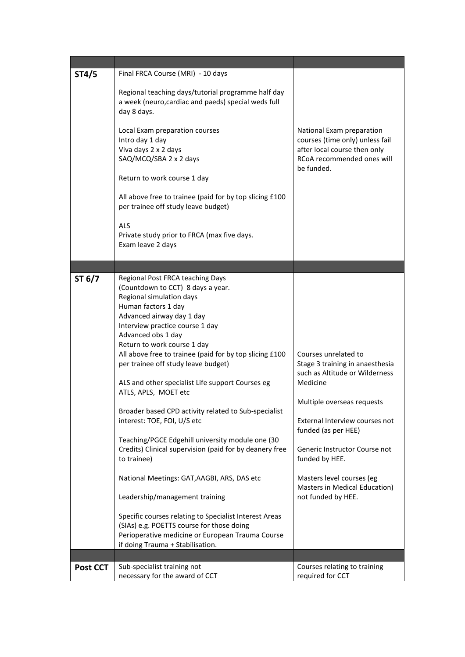| ST4/5    | Final FRCA Course (MRI) - 10 days                                                                         |                                                              |
|----------|-----------------------------------------------------------------------------------------------------------|--------------------------------------------------------------|
|          | Regional teaching days/tutorial programme half day<br>a week (neuro, cardiac and paeds) special weds full |                                                              |
|          | day 8 days.                                                                                               |                                                              |
|          | Local Exam preparation courses<br>Intro day 1 day                                                         | National Exam preparation<br>courses (time only) unless fail |
|          | Viva days 2 x 2 days                                                                                      | after local course then only                                 |
|          | SAQ/MCQ/SBA 2 x 2 days                                                                                    | RCoA recommended ones will<br>be funded.                     |
|          | Return to work course 1 day                                                                               |                                                              |
|          | All above free to trainee (paid for by top slicing £100<br>per trainee off study leave budget)            |                                                              |
|          | <b>ALS</b>                                                                                                |                                                              |
|          | Private study prior to FRCA (max five days.                                                               |                                                              |
|          | Exam leave 2 days                                                                                         |                                                              |
|          |                                                                                                           |                                                              |
|          |                                                                                                           |                                                              |
| ST $6/7$ | Regional Post FRCA teaching Days<br>(Countdown to CCT) 8 days a year.                                     |                                                              |
|          | Regional simulation days                                                                                  |                                                              |
|          | Human factors 1 day                                                                                       |                                                              |
|          | Advanced airway day 1 day                                                                                 |                                                              |
|          | Interview practice course 1 day                                                                           |                                                              |
|          | Advanced obs 1 day                                                                                        |                                                              |
|          | Return to work course 1 day                                                                               |                                                              |
|          | All above free to trainee (paid for by top slicing £100<br>per trainee off study leave budget)            | Courses unrelated to<br>Stage 3 training in anaesthesia      |
|          |                                                                                                           | such as Altitude or Wilderness                               |
|          | ALS and other specialist Life support Courses eg                                                          | Medicine                                                     |
|          | ATLS, APLS, MOET etc                                                                                      |                                                              |
|          |                                                                                                           | Multiple overseas requests                                   |
|          | Broader based CPD activity related to Sub-specialist                                                      |                                                              |
|          | interest: TOE, FOI, U/S etc                                                                               | External Interview courses not<br>funded (as per HEE)        |
|          | Teaching/PGCE Edgehill university module one (30                                                          |                                                              |
|          | Credits) Clinical supervision (paid for by deanery free                                                   | Generic Instructor Course not                                |
|          | to trainee)                                                                                               | funded by HEE.                                               |
|          | National Meetings: GAT, AAGBI, ARS, DAS etc                                                               | Masters level courses (eg                                    |
|          | Leadership/management training                                                                            | Masters in Medical Education)<br>not funded by HEE.          |
|          |                                                                                                           |                                                              |
|          | Specific courses relating to Specialist Interest Areas<br>(SIAs) e.g. POETTS course for those doing       |                                                              |
|          | Perioperative medicine or European Trauma Course                                                          |                                                              |
|          | if doing Trauma + Stabilisation.                                                                          |                                                              |
|          |                                                                                                           |                                                              |
| Post CCT | Sub-specialist training not                                                                               | Courses relating to training                                 |
|          | necessary for the award of CCT                                                                            | required for CCT                                             |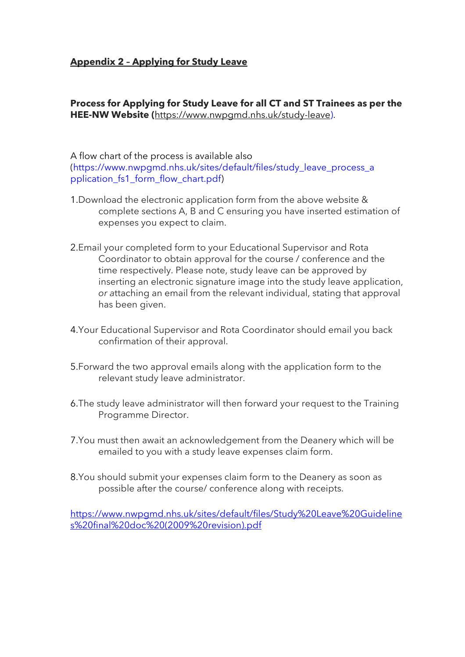## **Appendix 2 – Applying for Study Leave**

**Process for Applying for Study Leave for all CT and ST Trainees as per the HEE-NW Website (**[https://www.nwpgmd.nhs.uk/study-leave\)](https://www.nwpgmd.nhs.uk/study-leave).

### A flow chart of the process is available also (https://www.nwpgmd.nhs.uk/sites/default/files/study\_leave\_process\_a pplication\_fs1\_form\_flow\_chart.pdf)

- 1.Download the electronic application form from the above website & complete sections A, B and C ensuring you have inserted estimation of expenses you expect to claim.
- 2.Email your completed form to your Educational Supervisor and Rota Coordinator to obtain approval for the course / conference and the time respectively. Please note, study leave can be approved by inserting an electronic signature image into the study leave application, *or a*ttaching an email from the relevant individual, stating that approval has been given.
- 4.Your Educational Supervisor and Rota Coordinator should email you back confirmation of their approval.
- 5.Forward the two approval emails along with the application form to the relevant study leave administrator.
- 6.The study leave administrator will then forward your request to the Training Programme Director.
- 7.You must then await an acknowledgement from the Deanery which will be emailed to you with a study leave expenses claim form.
- 8.You should submit your expenses claim form to the Deanery as soon as possible after the course/ conference along with receipts.

[https://www.nwpgmd.nhs.uk/sites/default/files/Study%20Leave%20Guideline](https://www.nwpgmd.nhs.uk/sites/default/files/Study%20Leave%20Guidelines%20final%20doc%20(2009%20revision).pdf) [s%20final%20doc%20\(2009%20revision\).pdf](https://www.nwpgmd.nhs.uk/sites/default/files/Study%20Leave%20Guidelines%20final%20doc%20(2009%20revision).pdf)